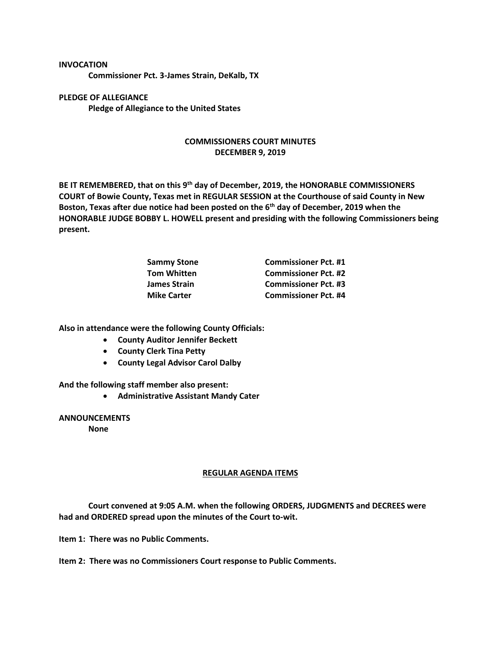## **INVOCATION**

**Commissioner Pct. 3-James Strain, DeKalb, TX**

**PLEDGE OF ALLEGIANCE Pledge of Allegiance to the United States**

## **COMMISSIONERS COURT MINUTES DECEMBER 9, 2019**

**BE IT REMEMBERED, that on this 9th day of December, 2019, the HONORABLE COMMISSIONERS COURT of Bowie County, Texas met in REGULAR SESSION at the Courthouse of said County in New Boston, Texas after due notice had been posted on the 6th day of December, 2019 when the HONORABLE JUDGE BOBBY L. HOWELL present and presiding with the following Commissioners being present.**

| <b>Commissioner Pct. #1</b> |
|-----------------------------|
| <b>Commissioner Pct. #2</b> |
| <b>Commissioner Pct. #3</b> |
| <b>Commissioner Pct. #4</b> |
|                             |

**Also in attendance were the following County Officials:**

- **County Auditor Jennifer Beckett**
- **County Clerk Tina Petty**
- **County Legal Advisor Carol Dalby**

**And the following staff member also present:**

• **Administrative Assistant Mandy Cater**

**ANNOUNCEMENTS**

**None**

## **REGULAR AGENDA ITEMS**

**Court convened at 9:05 A.M. when the following ORDERS, JUDGMENTS and DECREES were had and ORDERED spread upon the minutes of the Court to-wit.**

**Item 1: There was no Public Comments.**

**Item 2: There was no Commissioners Court response to Public Comments.**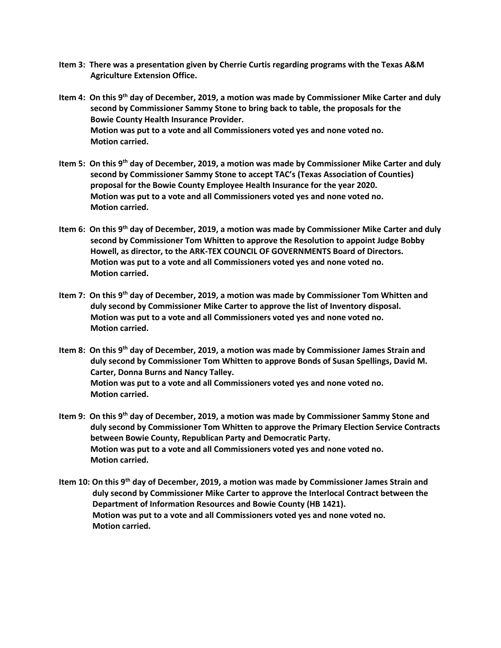- **Item 3: There was a presentation given by Cherrie Curtis regarding programs with the Texas A&M Agriculture Extension Office.**
- **Item 4: On this 9th day of December, 2019, a motion was made by Commissioner Mike Carter and duly second by Commissioner Sammy Stone to bring back to table, the proposals for the Bowie County Health Insurance Provider. Motion was put to a vote and all Commissioners voted yes and none voted no. Motion carried.**
- **Item 5: On this 9th day of December, 2019, a motion was made by Commissioner Mike Carter and duly second by Commissioner Sammy Stone to accept TAC's (Texas Association of Counties) proposal for the Bowie County Employee Health Insurance for the year 2020. Motion was put to a vote and all Commissioners voted yes and none voted no. Motion carried.**
- **Item 6: On this 9th day of December, 2019, a motion was made by Commissioner Mike Carter and duly second by Commissioner Tom Whitten to approve the Resolution to appoint Judge Bobby Howell, as director, to the ARK-TEX COUNCIL OF GOVERNMENTS Board of Directors. Motion was put to a vote and all Commissioners voted yes and none voted no. Motion carried.**
- **Item 7: On this 9th day of December, 2019, a motion was made by Commissioner Tom Whitten and duly second by Commissioner Mike Carter to approve the list of Inventory disposal. Motion was put to a vote and all Commissioners voted yes and none voted no. Motion carried.**
- **Item 8: On this 9th day of December, 2019, a motion was made by Commissioner James Strain and duly second by Commissioner Tom Whitten to approve Bonds of Susan Spellings, David M. Carter, Donna Burns and Nancy Talley. Motion was put to a vote and all Commissioners voted yes and none voted no. Motion carried.**
- **Item 9: On this 9th day of December, 2019, a motion was made by Commissioner Sammy Stone and duly second by Commissioner Tom Whitten to approve the Primary Election Service Contracts between Bowie County, Republican Party and Democratic Party. Motion was put to a vote and all Commissioners voted yes and none voted no. Motion carried.**
- **Item 10: On this 9th day of December, 2019, a motion was made by Commissioner James Strain and duly second by Commissioner Mike Carter to approve the Interlocal Contract between the Department of Information Resources and Bowie County (HB 1421). Motion was put to a vote and all Commissioners voted yes and none voted no. Motion carried.**